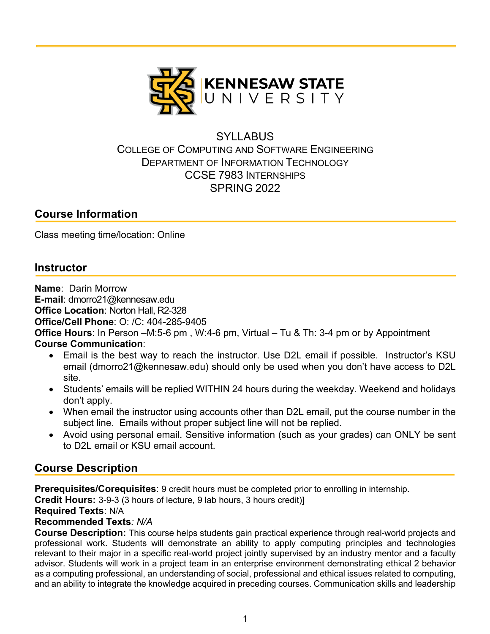

## **SYLLABUS** COLLEGE OF COMPUTING AND SOFTWARE ENGINEERING DEPARTMENT OF INFORMATION TECHNOLOGY CCSE 7983 INTERNSHIPS SPRING 2022

## **Course Information**

Class meeting time/location: Online

## **Instructor**

**Name**: Darin Morrow **E-mail**: dmorro21@kennesaw.edu **Office Location**: Norton Hall, R2-328 **Office/Cell Phone**: O: /C: 404-285-9405 **Office Hours**: In Person –M:5-6 pm , W:4-6 pm, Virtual – Tu & Th: 3-4 pm or by Appointment **Course Communication**:

- Email is the best way to reach the instructor. Use D2L email if possible. Instructor's KSU email (dmorro21@kennesaw.edu) should only be used when you don't have access to D2L site.
- Students' emails will be replied WITHIN 24 hours during the weekday. Weekend and holidays don't apply.
- When email the instructor using accounts other than D2L email, put the course number in the subject line. Emails without proper subject line will not be replied.
- Avoid using personal email. Sensitive information (such as your grades) can ONLY be sent to D2L email or KSU email account.

## **Course Description**

**Prerequisites/Corequisites**: 9 credit hours must be completed prior to enrolling in internship.

**Credit Hours:** 3-9-3 (3 hours of lecture, 9 lab hours, 3 hours credit)]

#### **Required Texts**: N/A

#### **Recommended Texts***: N/A*

**Course Description:** This course helps students gain practical experience through real-world projects and professional work. Students will demonstrate an ability to apply computing principles and technologies relevant to their major in a specific real-world project jointly supervised by an industry mentor and a faculty advisor. Students will work in a project team in an enterprise environment demonstrating ethical 2 behavior as a computing professional, an understanding of social, professional and ethical issues related to computing, and an ability to integrate the knowledge acquired in preceding courses. Communication skills and leadership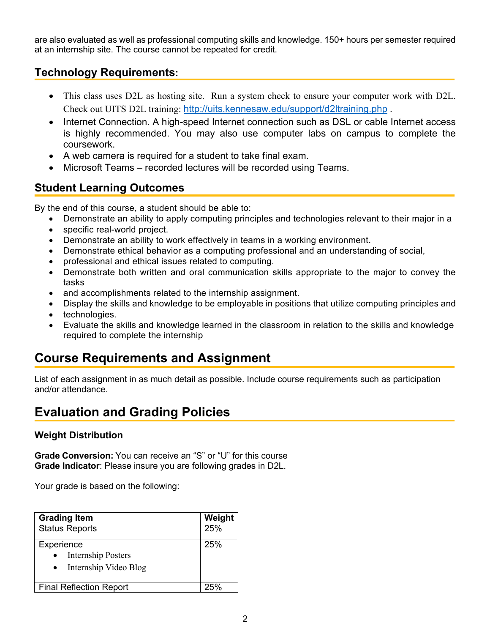are also evaluated as well as professional computing skills and knowledge. 150+ hours per semester required at an internship site. The course cannot be repeated for credit.

## **Technology Requirements:**

- This class uses D2L as hosting site. Run a system check to ensure your computer work with D2L. Check out UITS D2L training: http://uits.kennesaw.edu/support/d2ltraining.php .
- Internet Connection. A high-speed Internet connection such as DSL or cable Internet access is highly recommended. You may also use computer labs on campus to complete the coursework.
- A web camera is required for a student to take final exam.
- Microsoft Teams recorded lectures will be recorded using Teams.

### **Student Learning Outcomes**

By the end of this course, a student should be able to:

- Demonstrate an ability to apply computing principles and technologies relevant to their major in a
- specific real-world project.
- Demonstrate an ability to work effectively in teams in a working environment.
- Demonstrate ethical behavior as a computing professional and an understanding of social,
- professional and ethical issues related to computing.
- Demonstrate both written and oral communication skills appropriate to the major to convey the tasks
- and accomplishments related to the internship assignment.
- Display the skills and knowledge to be employable in positions that utilize computing principles and
- technologies.
- Evaluate the skills and knowledge learned in the classroom in relation to the skills and knowledge required to complete the internship

# **Course Requirements and Assignment**

List of each assignment in as much detail as possible. Include course requirements such as participation and/or attendance.

# **Evaluation and Grading Policies**

#### **Weight Distribution**

**Grade Conversion:** You can receive an "S" or "U" for this course **Grade Indicator**: Please insure you are following grades in D2L.

Your grade is based on the following:

| Weight<br><b>Grading Item</b>                                                 |     |  |
|-------------------------------------------------------------------------------|-----|--|
| <b>Status Reports</b>                                                         | 25% |  |
| Experience<br><b>Internship Posters</b><br>$\bullet$<br>Internship Video Blog | 25% |  |
| <b>Final Reflection Report</b>                                                | クら% |  |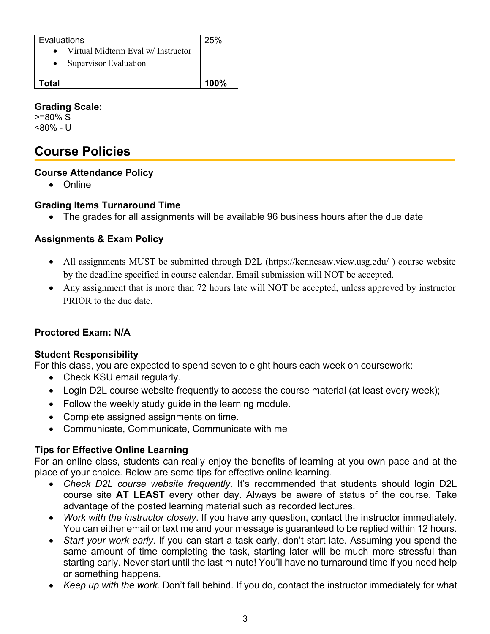| Evaluations                                     | 25%     |
|-------------------------------------------------|---------|
| Virtual Midterm Eval w/ Instructor<br>$\bullet$ |         |
| Supervisor Evaluation                           |         |
|                                                 |         |
| ัดtal                                           | $100\%$ |

#### **Grading Scale:**

>=80% S <80% - U

# **Course Policies**

#### **Course Attendance Policy**

• Online

### **Grading Items Turnaround Time**

• The grades for all assignments will be available 96 business hours after the due date

### **Assignments & Exam Policy**

- All assignments MUST be submitted through D2L (https://kennesaw.view.usg.edu/) course website by the deadline specified in course calendar. Email submission will NOT be accepted.
- Any assignment that is more than 72 hours late will NOT be accepted, unless approved by instructor PRIOR to the due date.

### **Proctored Exam: N/A**

#### **Student Responsibility**

For this class, you are expected to spend seven to eight hours each week on coursework:

- Check KSU email regularly.
- Login D2L course website frequently to access the course material (at least every week);
- Follow the weekly study guide in the learning module.
- Complete assigned assignments on time.
- Communicate, Communicate, Communicate with me

### **Tips for Effective Online Learning**

For an online class, students can really enjoy the benefits of learning at you own pace and at the place of your choice. Below are some tips for effective online learning.

- *Check D2L course website frequently*. It's recommended that students should login D2L course site **AT LEAST** every other day. Always be aware of status of the course. Take advantage of the posted learning material such as recorded lectures.
- *Work with the instructor closely*. If you have any question, contact the instructor immediately. You can either email or text me and your message is guaranteed to be replied within 12 hours.
- *Start your work early*. If you can start a task early, don't start late. Assuming you spend the same amount of time completing the task, starting later will be much more stressful than starting early. Never start until the last minute! You'll have no turnaround time if you need help or something happens.
- *Keep up with the work*. Don't fall behind. If you do, contact the instructor immediately for what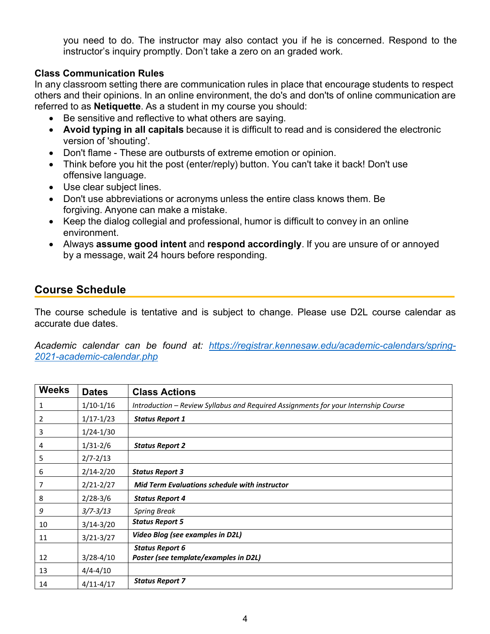you need to do. The instructor may also contact you if he is concerned. Respond to the instructor's inquiry promptly. Don't take a zero on an graded work.

#### **Class Communication Rules**

In any classroom setting there are communication rules in place that encourage students to respect others and their opinions. In an online environment, the do's and don'ts of online communication are referred to as **Netiquette**. As a student in my course you should:

- Be sensitive and reflective to what others are saying.
- **Avoid typing in all capitals** because it is difficult to read and is considered the electronic version of 'shouting'.
- Don't flame These are outbursts of extreme emotion or opinion.
- Think before you hit the post (enter/reply) button. You can't take it back! Don't use offensive language.
- Use clear subject lines.
- Don't use abbreviations or acronyms unless the entire class knows them. Be forgiving. Anyone can make a mistake.
- Keep the dialog collegial and professional, humor is difficult to convey in an online environment.
- Always **assume good intent** and **respond accordingly**. If you are unsure of or annoyed by a message, wait 24 hours before responding.

## **Course Schedule**

The course schedule is tentative and is subject to change. Please use D2L course calendar as accurate due dates.

*Academic calendar can be found at: https://registrar.kennesaw.edu/academic-calendars/spring-2021-academic-calendar.php*

| <b>Weeks</b> | <b>Dates</b>  | <b>Class Actions</b>                                                               |
|--------------|---------------|------------------------------------------------------------------------------------|
| 1            | $1/10-1/16$   | Introduction - Review Syllabus and Required Assignments for your Internship Course |
| 2            | $1/17 - 1/23$ | <b>Status Report 1</b>                                                             |
| 3            | $1/24 - 1/30$ |                                                                                    |
| 4            | $1/31 - 2/6$  | <b>Status Report 2</b>                                                             |
| 5            | $2/7 - 2/13$  |                                                                                    |
| 6            | $2/14 - 2/20$ | <b>Status Report 3</b>                                                             |
| 7            | $2/21 - 2/27$ | <b>Mid Term Evaluations schedule with instructor</b>                               |
| 8            | $2/28-3/6$    | <b>Status Report 4</b>                                                             |
| 9            | $3/7 - 3/13$  | <b>Spring Break</b>                                                                |
| 10           | $3/14 - 3/20$ | <b>Status Report 5</b>                                                             |
| 11           | $3/21 - 3/27$ | Video Blog (see examples in D2L)                                                   |
|              |               | <b>Status Report 6</b>                                                             |
| 12           | $3/28 - 4/10$ | Poster (see template/examples in D2L)                                              |
| 13           | $4/4 - 4/10$  |                                                                                    |
| 14           | $4/11 - 4/17$ | <b>Status Report 7</b>                                                             |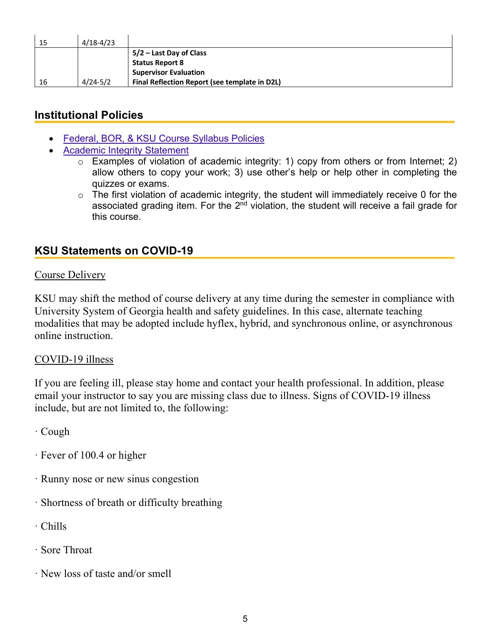| 15 | $4/18 - 4/23$ |                                               |
|----|---------------|-----------------------------------------------|
|    |               | 5/2 – Last Day of Class                       |
|    |               | <b>Status Report 8</b>                        |
|    |               | <b>Supervisor Evaluation</b>                  |
| 16 | $4/24 - 5/2$  | Final Reflection Report (see template in D2L) |

# **Institutional Policies**

- Federal, BOR, & KSU Course Syllabus Policies
- Academic Integrity Statement
	- o Examples of violation of academic integrity: 1) copy from others or from Internet; 2) allow others to copy your work; 3) use other's help or help other in completing the quizzes or exams.
	- $\circ$  The first violation of academic integrity, the student will immediately receive 0 for the associated grading item. For the  $2<sup>nd</sup>$  violation, the student will receive a fail grade for this course.

# **KSU Statements on COVID-19**

### Course Delivery

KSU may shift the method of course delivery at any time during the semester in compliance with University System of Georgia health and safety guidelines. In this case, alternate teaching modalities that may be adopted include hyflex, hybrid, and synchronous online, or asynchronous online instruction.

#### COVID-19 illness

If you are feeling ill, please stay home and contact your health professional. In addition, please email your instructor to say you are missing class due to illness. Signs of COVID-19 illness include, but are not limited to, the following:

· Cough

- · Fever of 100.4 or higher
- · Runny nose or new sinus congestion
- · Shortness of breath or difficulty breathing
- · Chills
- · Sore Throat
- · New loss of taste and/or smell